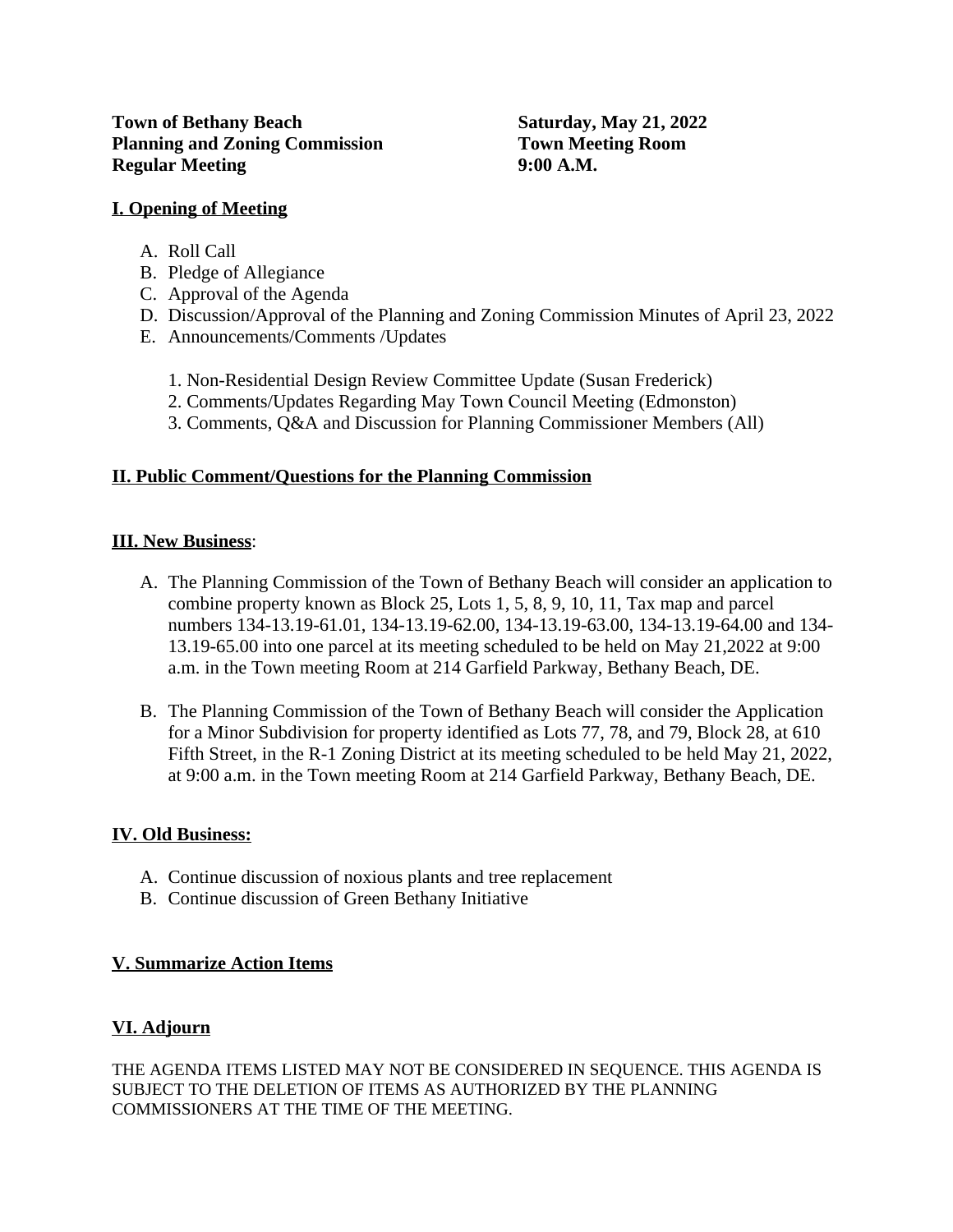### **I. Opening of Meeting**

- A. Roll Call
- B. Pledge of Allegiance
- C. Approval of the Agenda
- D. Discussion/Approval of the Planning and Zoning Commission Minutes of April 23, 2022
- E. Announcements/Comments /Updates
	- 1. Non-Residential Design Review Committee Update (Susan Frederick)
	- 2. Comments/Updates Regarding May Town Council Meeting (Edmonston)
	- 3. Comments, Q&A and Discussion for Planning Commissioner Members (All)

## **II. Public Comment/Questions for the Planning Commission**

## **III. New Business**:

- A. The Planning Commission of the Town of Bethany Beach will consider an application to combine property known as Block 25, Lots 1, 5, 8, 9, 10, 11, Tax map and parcel numbers 134-13.19-61.01, 134-13.19-62.00, 134-13.19-63.00, 134-13.19-64.00 and 134- 13.19-65.00 into one parcel at its meeting scheduled to be held on May 21,2022 at 9:00 a.m. in the Town meeting Room at 214 Garfield Parkway, Bethany Beach, DE.
- B. The Planning Commission of the Town of Bethany Beach will consider the Application for a Minor Subdivision for property identified as Lots 77, 78, and 79, Block 28, at 610 Fifth Street, in the R-1 Zoning District at its meeting scheduled to be held May 21, 2022, at 9:00 a.m. in the Town meeting Room at 214 Garfield Parkway, Bethany Beach, DE.

#### **IV. Old Business:**

- A. Continue discussion of noxious plants and tree replacement
- B. Continue discussion of Green Bethany Initiative

#### **V. Summarize Action Items**

# **VI. Adjourn**

THE AGENDA ITEMS LISTED MAY NOT BE CONSIDERED IN SEQUENCE. THIS AGENDA IS SUBJECT TO THE DELETION OF ITEMS AS AUTHORIZED BY THE PLANNING COMMISSIONERS AT THE TIME OF THE MEETING.